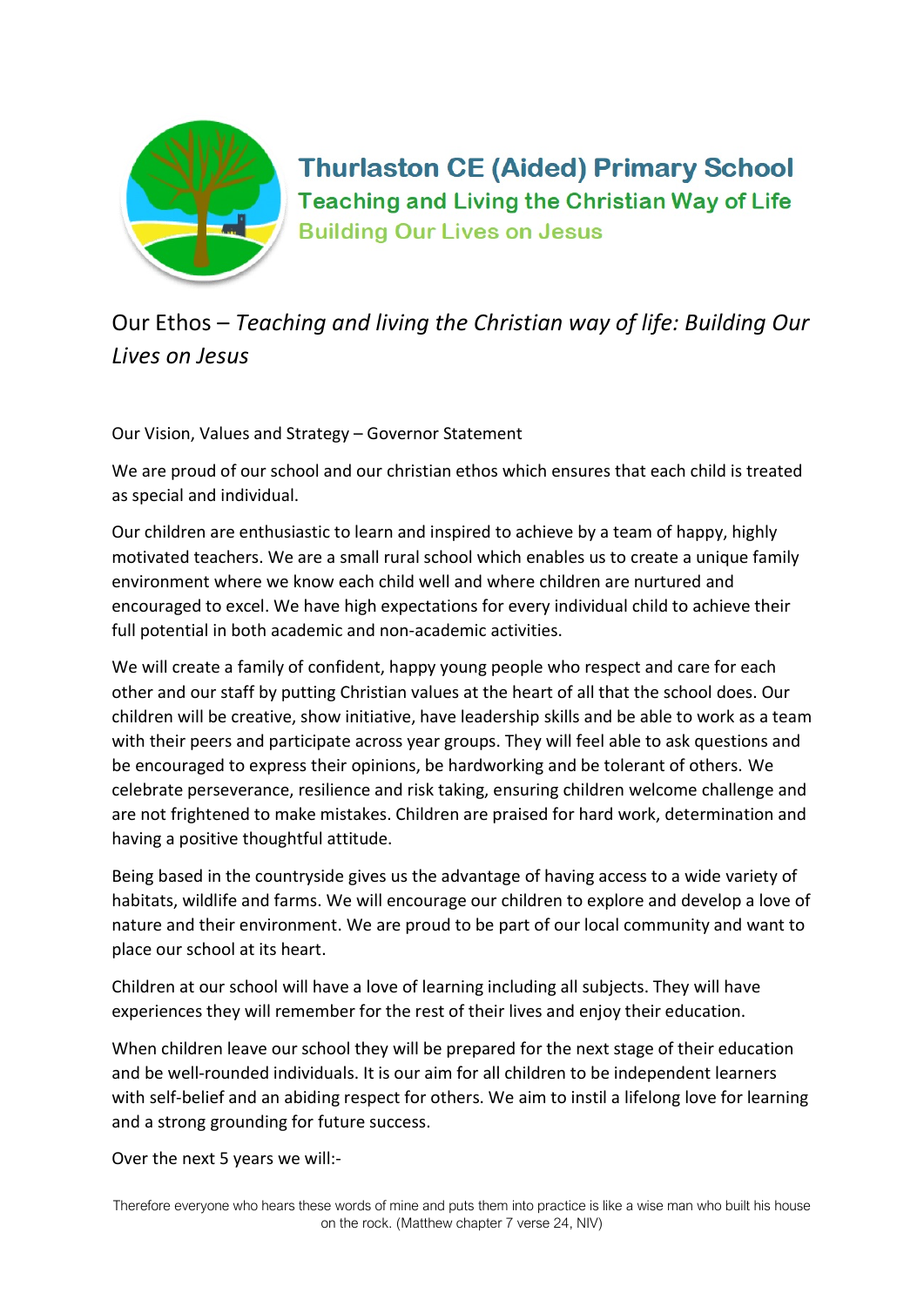

**Thurlaston CE (Aided) Primary School Teaching and Living the Christian Way of Life Building Our Lives on Jesus** 

Our Ethos – Teaching and living the Christian way of life: Building Our Lives on Jesus

Our Vision, Values and Strategy – Governor Statement

We are proud of our school and our christian ethos which ensures that each child is treated as special and individual.

Our children are enthusiastic to learn and inspired to achieve by a team of happy, highly motivated teachers. We are a small rural school which enables us to create a unique family environment where we know each child well and where children are nurtured and encouraged to excel. We have high expectations for every individual child to achieve their full potential in both academic and non-academic activities.

We will create a family of confident, happy young people who respect and care for each other and our staff by putting Christian values at the heart of all that the school does. Our children will be creative, show initiative, have leadership skills and be able to work as a team with their peers and participate across year groups. They will feel able to ask questions and be encouraged to express their opinions, be hardworking and be tolerant of others. We celebrate perseverance, resilience and risk taking, ensuring children welcome challenge and are not frightened to make mistakes. Children are praised for hard work, determination and having a positive thoughtful attitude.

Being based in the countryside gives us the advantage of having access to a wide variety of habitats, wildlife and farms. We will encourage our children to explore and develop a love of nature and their environment. We are proud to be part of our local community and want to place our school at its heart.

Children at our school will have a love of learning including all subjects. They will have experiences they will remember for the rest of their lives and enjoy their education.

When children leave our school they will be prepared for the next stage of their education and be well-rounded individuals. It is our aim for all children to be independent learners with self-belief and an abiding respect for others. We aim to instil a lifelong love for learning and a strong grounding for future success.

Over the next 5 years we will:-